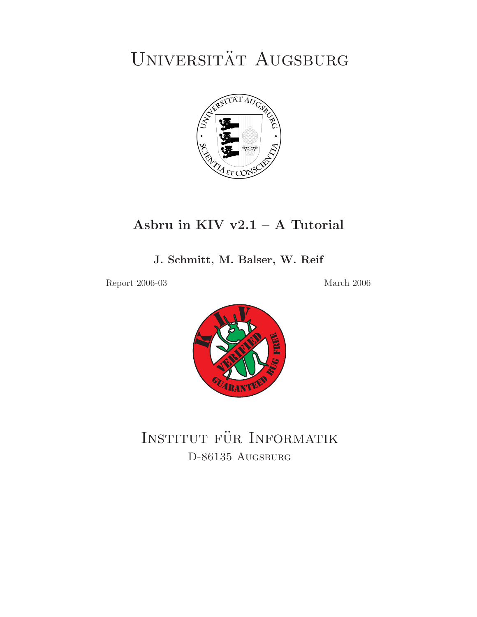UNIVERSITÄT AUGSBURG



# **Asbru in KIV v2.1 – A Tutorial**

**J. Schmitt, M. Balser, W. Reif**

Report 2006-03 March 2006



INSTITUT FUR INFORMATION D-86135 Augsburg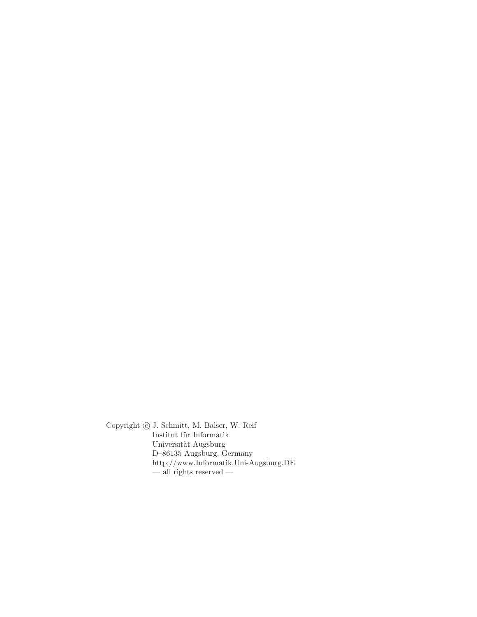Copyright  $\odot$  J. Schmitt, M. Balser, W. Reif Institut für Informatik Universität Augsburg D–86135 Augsburg, Germany http://www.Informatik.Uni-Augsburg.DE — all rights reserved —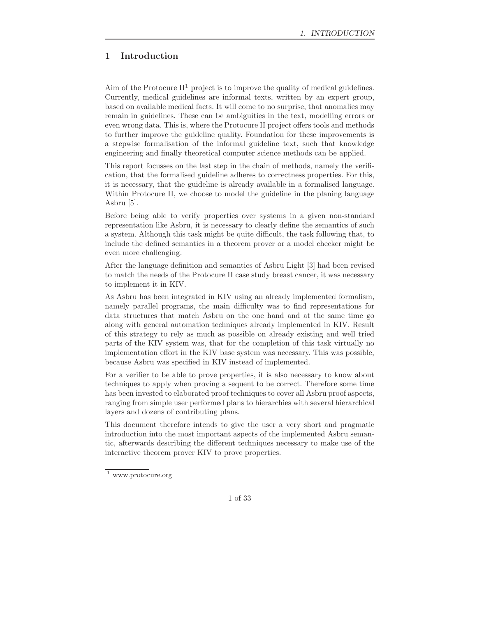# **1 Introduction**

Aim of the Protocure  $II^1$  project is to improve the quality of medical guidelines. Currently, medical guidelines are informal texts, written by an expert group, based on available medical facts. It will come to no surprise, that anomalies may remain in guidelines. These can be ambiguities in the text, modelling errors or even wrong data. This is, where the Protocure II project offers tools and methods to further improve the guideline quality. Foundation for these improvements is a stepwise formalisation of the informal guideline text, such that knowledge engineering and finally theoretical computer science methods can be applied.

This report focusses on the last step in the chain of methods, namely the verification, that the formalised guideline adheres to correctness properties. For this, it is necessary, that the guideline is already available in a formalised language. Within Protocure II, we choose to model the guideline in the planing language Asbru [5].

Before being able to verify properties over systems in a given non-standard representation like Asbru, it is necessary to clearly define the semantics of such a system. Although this task might be quite difficult, the task following that, to include the defined semantics in a theorem prover or a model checker might be even more challenging.

After the language definition and semantics of Asbru Light [3] had been revised to match the needs of the Protocure II case study breast cancer, it was necessary to implement it in KIV.

As Asbru has been integrated in KIV using an already implemented formalism, namely parallel programs, the main difficulty was to find representations for data structures that match Asbru on the one hand and at the same time go along with general automation techniques already implemented in KIV. Result of this strategy to rely as much as possible on already existing and well tried parts of the KIV system was, that for the completion of this task virtually no implementation effort in the KIV base system was necessary. This was possible, because Asbru was specified in KIV instead of implemented.

For a verifier to be able to prove properties, it is also necessary to know about techniques to apply when proving a sequent to be correct. Therefore some time has been invested to elaborated proof techniques to cover all Asbru proof aspects, ranging from simple user performed plans to hierarchies with several hierarchical layers and dozens of contributing plans.

This document therefore intends to give the user a very short and pragmatic introduction into the most important aspects of the implemented Asbru semantic, afterwards describing the different techniques necessary to make use of the interactive theorem prover KIV to prove properties.

<sup>1</sup> www.protocure.org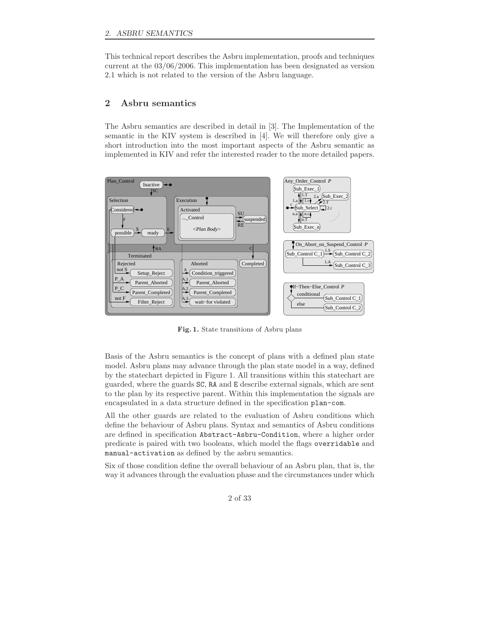# *2. ASBRU SEMANTICS*

This technical report describes the Asbru implementation, proofs and techniques current at the 03/06/2006. This implementation has been designated as version 2.1 which is not related to the version of the Asbru language.

# **2 Asbru semantics**

The Asbru semantics are described in detail in [3]. The Implementation of the semantic in the KIV system is described in [4]. We will therefore only give a short introduction into the most important aspects of the Asbru semantic as implemented in KIV and refer the interested reader to the more detailed papers.



**Fig. 1.** State transitions of Asbru plans

Basis of the Asbru semantics is the concept of plans with a defined plan state model. Asbru plans may advance through the plan state model in a way, defined by the statechart depicted in Figure 1. All transitions within this statechart are guarded, where the guards SC, RA and E describe external signals, which are sent to the plan by its respective parent. Within this implementation the signals are encapsulated in a data structure defined in the specification plan-com.

All the other guards are related to the evaluation of Asbru conditions which define the behaviour of Asbru plans. Syntax and semantics of Asbru conditions are defined in specification Abstract-Asbru-Condition, where a higher order predicate is paired with two booleans, which model the flags overridable and manual-activation as defined by the asbru semantics.

Six of those condition define the overall behaviour of an Asbru plan, that is, the way it advances through the evaluation phase and the circumstances under which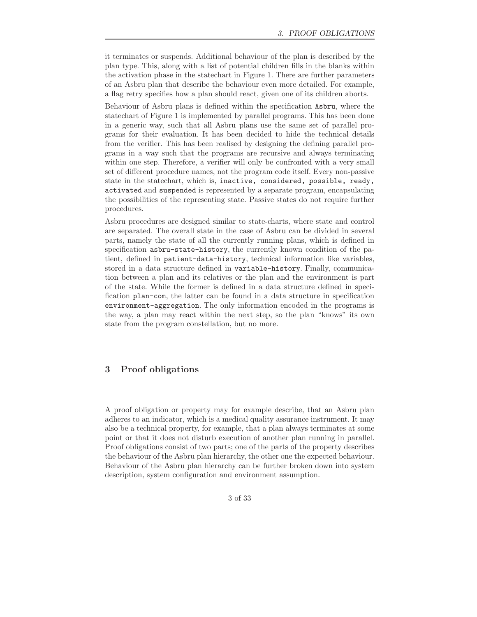it terminates or suspends. Additional behaviour of the plan is described by the plan type. This, along with a list of potential children fills in the blanks within the activation phase in the statechart in Figure 1. There are further parameters of an Asbru plan that describe the behaviour even more detailed. For example, a flag retry specifies how a plan should react, given one of its children aborts.

Behaviour of Asbru plans is defined within the specification Asbru, where the statechart of Figure 1 is implemented by parallel programs. This has been done in a generic way, such that all Asbru plans use the same set of parallel programs for their evaluation. It has been decided to hide the technical details from the verifier. This has been realised by designing the defining parallel programs in a way such that the programs are recursive and always terminating within one step. Therefore, a verifier will only be confronted with a very small set of different procedure names, not the program code itself. Every non-passive state in the statechart, which is, inactive, considered, possible, ready, activated and suspended is represented by a separate program, encapsulating the possibilities of the representing state. Passive states do not require further procedures.

Asbru procedures are designed similar to state-charts, where state and control are separated. The overall state in the case of Asbru can be divided in several parts, namely the state of all the currently running plans, which is defined in specification asbru-state-history, the currently known condition of the patient, defined in patient-data-history, technical information like variables, stored in a data structure defined in variable-history. Finally, communication between a plan and its relatives or the plan and the environment is part of the state. While the former is defined in a data structure defined in specification plan-com, the latter can be found in a data structure in specification environment-aggregation. The only information encoded in the programs is the way, a plan may react within the next step, so the plan "knows" its own state from the program constellation, but no more.

# **3 Proof obligations**

A proof obligation or property may for example describe, that an Asbru plan adheres to an indicator, which is a medical quality assurance instrument. It may also be a technical property, for example, that a plan always terminates at some point or that it does not disturb execution of another plan running in parallel. Proof obligations consist of two parts; one of the parts of the property describes the behaviour of the Asbru plan hierarchy, the other one the expected behaviour. Behaviour of the Asbru plan hierarchy can be further broken down into system description, system configuration and environment assumption.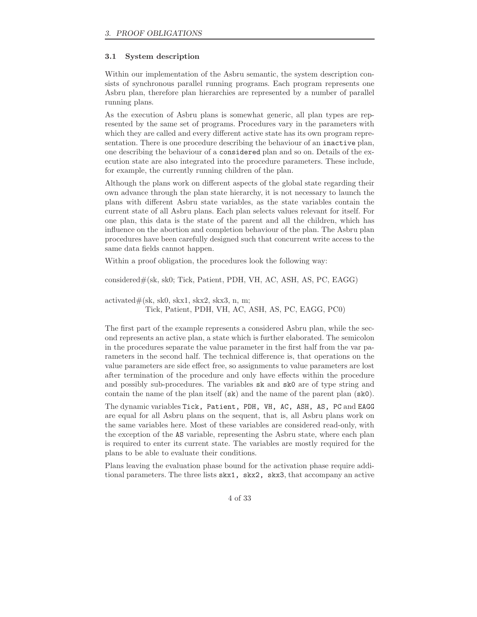#### **3.1 System description**

Within our implementation of the Asbru semantic, the system description consists of synchronous parallel running programs. Each program represents one Asbru plan, therefore plan hierarchies are represented by a number of parallel running plans.

As the execution of Asbru plans is somewhat generic, all plan types are represented by the same set of programs. Procedures vary in the parameters with which they are called and every different active state has its own program representation. There is one procedure describing the behaviour of an inactive plan, one describing the behaviour of a considered plan and so on. Details of the execution state are also integrated into the procedure parameters. These include, for example, the currently running children of the plan.

Although the plans work on different aspects of the global state regarding their own advance through the plan state hierarchy, it is not necessary to launch the plans with different Asbru state variables, as the state variables contain the current state of all Asbru plans. Each plan selects values relevant for itself. For one plan, this data is the state of the parent and all the children, which has influence on the abortion and completion behaviour of the plan. The Asbru plan procedures have been carefully designed such that concurrent write access to the same data fields cannot happen.

Within a proof obligation, the procedures look the following way:

considered#(sk, sk0; Tick, Patient, PDH, VH, AC, ASH, AS, PC, EAGG)

 $\text{activated#(sk, sk0, skx1, skx2, skx3, n, m)}$ 

Tick, Patient, PDH, VH, AC, ASH, AS, PC, EAGG, PC0)

The first part of the example represents a considered Asbru plan, while the second represents an active plan, a state which is further elaborated. The semicolon in the procedures separate the value parameter in the first half from the var parameters in the second half. The technical difference is, that operations on the value parameters are side effect free, so assignments to value parameters are lost after termination of the procedure and only have effects within the procedure and possibly sub-procedures. The variables sk and sk0 are of type string and contain the name of the plan itself (sk) and the name of the parent plan (sk0).

The dynamic variables Tick, Patient, PDH, VH, AC, ASH, AS, PC and EAGG are equal for all Asbru plans on the sequent, that is, all Asbru plans work on the same variables here. Most of these variables are considered read-only, with the exception of the AS variable, representing the Asbru state, where each plan is required to enter its current state. The variables are mostly required for the plans to be able to evaluate their conditions.

Plans leaving the evaluation phase bound for the activation phase require additional parameters. The three lists skx1, skx2, skx3, that accompany an active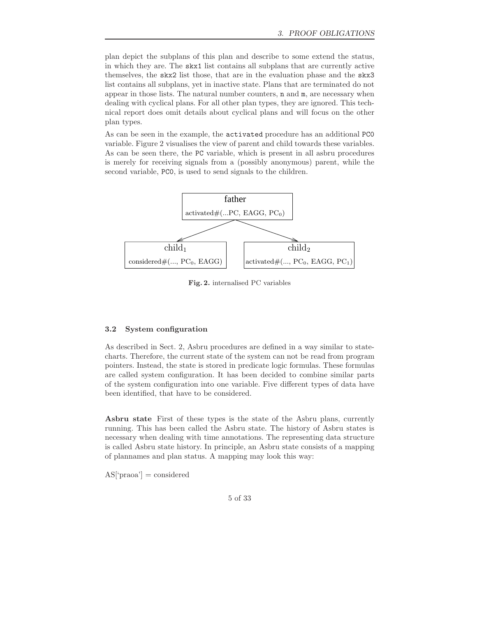plan depict the subplans of this plan and describe to some extend the status, in which they are. The skx1 list contains all subplans that are currently active themselves, the skx2 list those, that are in the evaluation phase and the skx3 list contains all subplans, yet in inactive state. Plans that are terminated do not appear in those lists. The natural number counters, n and m, are necessary when dealing with cyclical plans. For all other plan types, they are ignored. This technical report does omit details about cyclical plans and will focus on the other plan types.

As can be seen in the example, the activated procedure has an additional PC0 variable. Figure 2 visualises the view of parent and child towards these variables. As can be seen there, the PC variable, which is present in all asbru procedures is merely for receiving signals from a (possibly anonymous) parent, while the second variable, PC0, is used to send signals to the children.



**Fig. 2.** internalised PC variables

## **3.2 System configuration**

As described in Sect. 2, Asbru procedures are defined in a way similar to statecharts. Therefore, the current state of the system can not be read from program pointers. Instead, the state is stored in predicate logic formulas. These formulas are called system configuration. It has been decided to combine similar parts of the system configuration into one variable. Five different types of data have been identified, that have to be considered.

**Asbru state** First of these types is the state of the Asbru plans, currently running. This has been called the Asbru state. The history of Asbru states is necessary when dealing with time annotations. The representing data structure is called Asbru state history. In principle, an Asbru state consists of a mapping of plannames and plan status. A mapping may look this way:

 $AS$ ['praoa'] = considered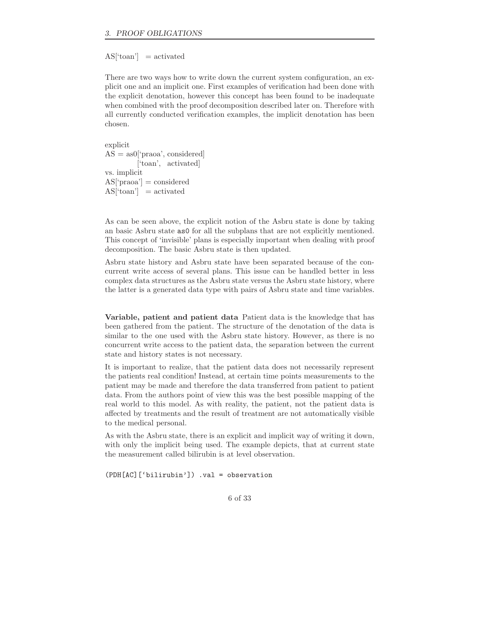### $AS$ <sup>['toan']</sup> = activated

There are two ways how to write down the current system configuration, an explicit one and an implicit one. First examples of verification had been done with the explicit denotation, however this concept has been found to be inadequate when combined with the proof decomposition described later on. Therefore with all currently conducted verification examples, the implicit denotation has been chosen.

explicit  $AS = as0$ ['praoa', considered] ['toan', activated] vs. implicit  $AS['praoa'] = considered$  $AS$ <sup>['toan']</sup> = activated

As can be seen above, the explicit notion of the Asbru state is done by taking an basic Asbru state as0 for all the subplans that are not explicitly mentioned. This concept of 'invisible' plans is especially important when dealing with proof decomposition. The basic Asbru state is then updated.

Asbru state history and Asbru state have been separated because of the concurrent write access of several plans. This issue can be handled better in less complex data structures as the Asbru state versus the Asbru state history, where the latter is a generated data type with pairs of Asbru state and time variables.

**Variable, patient and patient data** Patient data is the knowledge that has been gathered from the patient. The structure of the denotation of the data is similar to the one used with the Asbru state history. However, as there is no concurrent write access to the patient data, the separation between the current state and history states is not necessary.

It is important to realize, that the patient data does not necessarily represent the patients real condition! Instead, at certain time points measurements to the patient may be made and therefore the data transferred from patient to patient data. From the authors point of view this was the best possible mapping of the real world to this model. As with reality, the patient, not the patient data is affected by treatments and the result of treatment are not automatically visible to the medical personal.

As with the Asbru state, there is an explicit and implicit way of writing it down, with only the implicit being used. The example depicts, that at current state the measurement called bilirubin is at level observation.

(PDH[AC]['bilirubin']) .val = observation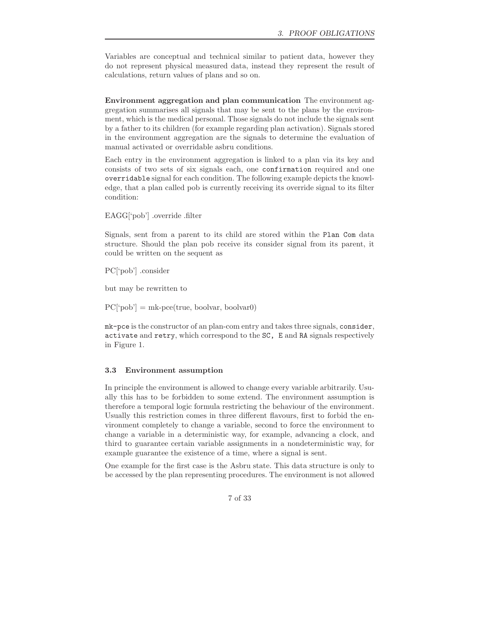Variables are conceptual and technical similar to patient data, however they do not represent physical measured data, instead they represent the result of calculations, return values of plans and so on.

**Environment aggregation and plan communication** The environment aggregation summarises all signals that may be sent to the plans by the environment, which is the medical personal. Those signals do not include the signals sent by a father to its children (for example regarding plan activation). Signals stored in the environment aggregation are the signals to determine the evaluation of manual activated or overridable asbru conditions.

Each entry in the environment aggregation is linked to a plan via its key and consists of two sets of six signals each, one confirmation required and one overridable signal for each condition. The following example depicts the knowledge, that a plan called pob is currently receiving its override signal to its filter condition:

EAGG['pob'] .override .filter

Signals, sent from a parent to its child are stored within the Plan Com data structure. Should the plan pob receive its consider signal from its parent, it could be written on the sequent as

PC['pob'] .consider

but may be rewritten to

 $PC['pob'] = mk-pce(true, bodyar, bodyar0)$ 

mk-pce is the constructor of an plan-com entry and takes three signals, consider, activate and retry, which correspond to the SC, E and RA signals respectively in Figure 1.

#### **3.3 Environment assumption**

In principle the environment is allowed to change every variable arbitrarily. Usually this has to be forbidden to some extend. The environment assumption is therefore a temporal logic formula restricting the behaviour of the environment. Usually this restriction comes in three different flavours, first to forbid the environment completely to change a variable, second to force the environment to change a variable in a deterministic way, for example, advancing a clock, and third to guarantee certain variable assignments in a nondeterministic way, for example guarantee the existence of a time, where a signal is sent.

One example for the first case is the Asbru state. This data structure is only to be accessed by the plan representing procedures. The environment is not allowed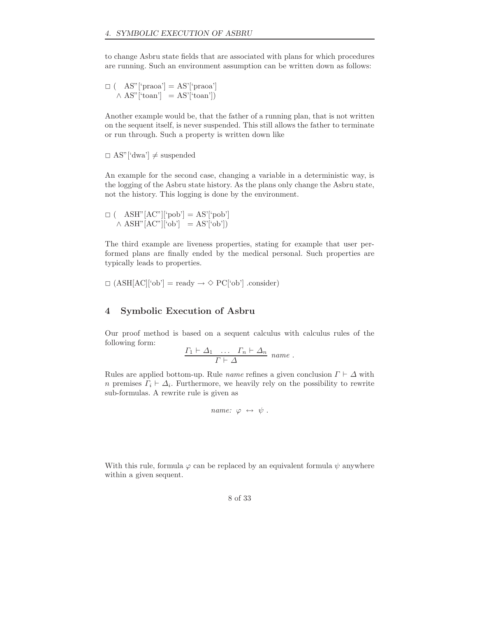to change Asbru state fields that are associated with plans for which procedures are running. Such an environment assumption can be written down as follows:

 $\square$  ( AS"['praoa'] = AS'['praoa']  $\wedge$  AS"['toan'] = AS'['toan'])

Another example would be, that the father of a running plan, that is not written on the sequent itself, is never suspended. This still allows the father to terminate or run through. Such a property is written down like

 $\Box$  AS"['dwa']  $\neq$  suspended

An example for the second case, changing a variable in a deterministic way, is the logging of the Asbru state history. As the plans only change the Asbru state, not the history. This logging is done by the environment.

 $\Box$  ( \quad \text{ASH" [AC"] [`pob'] = AS' [`pob']  $\wedge$  ASH"[AC"]['ob'] = AS'['ob'])

The third example are liveness properties, stating for example that user performed plans are finally ended by the medical personal. Such properties are typically leads to properties.

 $\Box$  (ASH[AC]['ob'] = ready  $\rightarrow \Diamond$  PC['ob'] .consider)

# **4 Symbolic Execution of Asbru**

Our proof method is based on a sequent calculus with calculus rules of the following form:

$$
\frac{\Gamma_1 \vdash \Delta_1 \quad \dots \quad \Gamma_n \vdash \Delta_n}{\Gamma \vdash \Delta} \ \ name \ .
$$

Rules are applied bottom-up. Rule *name* refines a given conclusion  $\Gamma \vdash \Delta$  with *n* premises  $\Gamma_i \vdash \Delta_i$ . Furthermore, we heavily rely on the possibility to rewrite sub-formulas. A rewrite rule is given as

```
name: \varphi \leftrightarrow \psi.
```
With this rule, formula  $\varphi$  can be replaced by an equivalent formula  $\psi$  anywhere within a given sequent.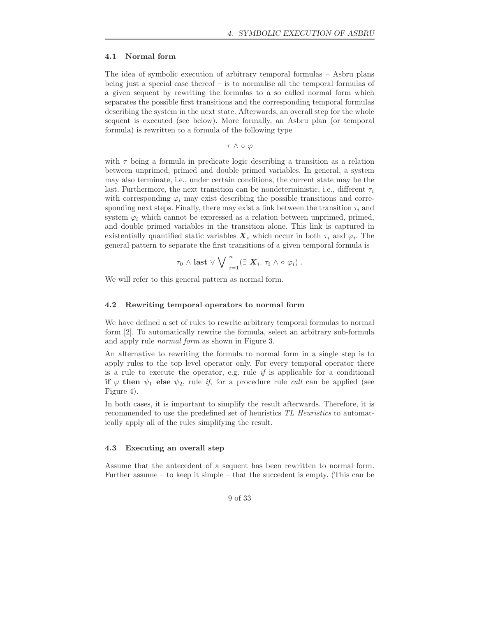## **4.1 Normal form**

The idea of symbolic execution of arbitrary temporal formulas – Asbru plans being just a special case thereof  $-$  is to normalise all the temporal formulas of a given sequent by rewriting the formulas to a so called normal form which separates the possible first transitions and the corresponding temporal formulas describing the system in the next state. Afterwards, an overall step for the whole sequent is executed (see below). More formally, an Asbru plan (or temporal formula) is rewritten to a formula of the following type

τ ∧ ◦ ϕ

with  $\tau$  being a formula in predicate logic describing a transition as a relation between unprimed, primed and double primed variables. In general, a system may also terminate, i.e., under certain conditions, the current state may be the last. Furthermore, the next transition can be nondeterministic, i.e., different  $\tau_i$ with corresponding  $\varphi_i$  may exist describing the possible transitions and corresponding next steps. Finally, there may exist a link between the transition  $\tau_i$  and system  $\varphi_i$  which cannot be expressed as a relation between unprimed, primed, and double primed variables in the transition alone. This link is captured in existentially quantified static variables  $\boldsymbol{X}_i$  which occur in both  $\tau_i$  and  $\varphi_i$ . The general pattern to separate the first transitions of a given temporal formula is

$$
\tau_0 \wedge \text{last} \vee \bigvee \bigvee_{i=1}^n (\exists \ X_i. \ \tau_i \wedge \circ \varphi_i) \ .
$$

We will refer to this general pattern as normal form.

## **4.2 Rewriting temporal operators to normal form**

We have defined a set of rules to rewrite arbitrary temporal formulas to normal form [2]. To automatically rewrite the formula, select an arbitrary sub-formula and apply rule *normal form* as shown in Figure 3.

An alternative to rewriting the formula to normal form in a single step is to apply rules to the top level operator only. For every temporal operator there is a rule to execute the operator, e.g. rule *if* is applicable for a conditional **if**  $\varphi$  **then**  $\psi_1$  **else**  $\psi_2$ , rule *if*, for a procedure rule *call* can be applied (see Figure 4).

In both cases, it is important to simplify the result afterwards. Therefore, it is recommended to use the predefined set of heuristics *TL Heuristics* to automatically apply all of the rules simplifying the result.

#### **4.3 Executing an overall step**

Assume that the antecedent of a sequent has been rewritten to normal form. Further assume – to keep it simple – that the succedent is empty. (This can be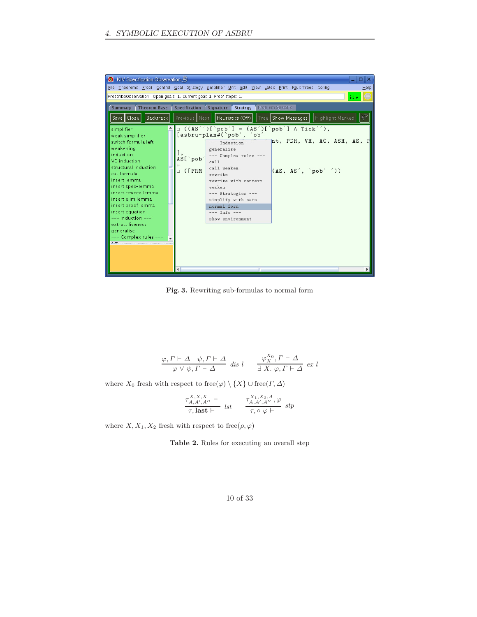

**Fig. 3.** Rewriting sub-formulas to normal form

$$
\frac{\varphi, \Gamma \vdash \Delta \quad \psi, \Gamma \vdash \Delta}{\varphi \lor \psi, \Gamma \vdash \Delta} \text{ dis } l \qquad \frac{\varphi^{X_0}_X, \Gamma \vdash \Delta}{\exists \ X. \ \varphi, \Gamma \vdash \Delta} \text{ ex } l
$$

where  $X_0$  fresh with respect to free $(\varphi) \setminus \{X\} \cup \text{free}(\Gamma, \Delta)$ 

$$
\frac{\tau_{A,A',A''}^{X,X,K} \vdash}{\tau, \text{last} \vdash} \quad \text{lst} \qquad \frac{\tau_{A,A',A''}^{X_1,X_2,A}, \varphi}{\tau, \circ \varphi \vdash} \quad \text{stp}
$$

where  $X, X_1, X_2$  fresh with respect to free( $\rho, \varphi$ )

**Table 2.** Rules for executing an overall step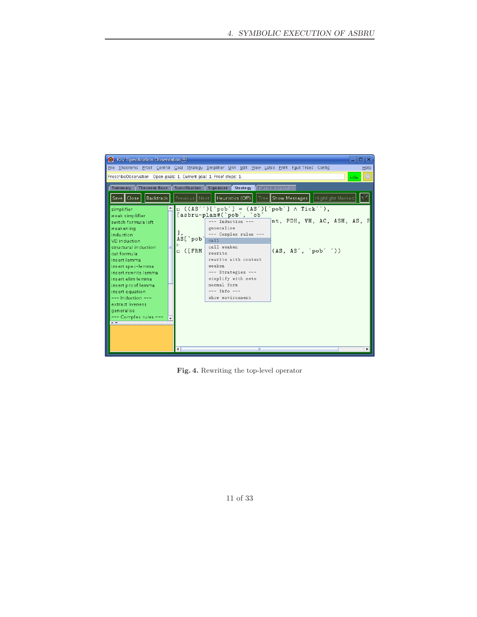

**Fig. 4.** Rewriting the top-level operator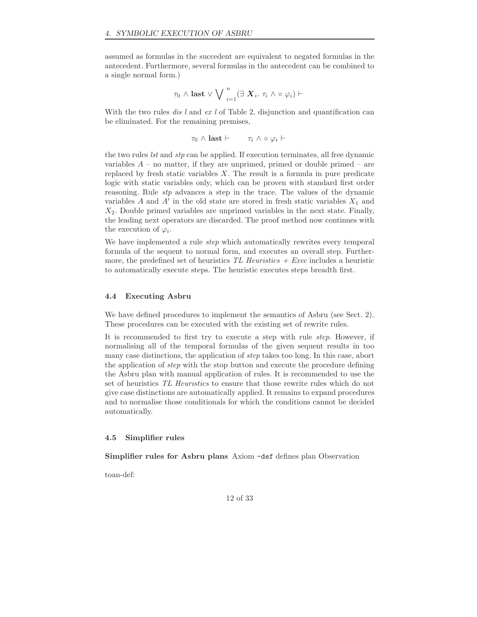assumed as formulas in the succedent are equivalent to negated formulas in the antecedent. Furthermore, several formulas in the antecedent can be combined to a single normal form.)

$$
\tau_0\wedge {\rm last} \vee \bigvee \bigvee_{i=1}^n (\exists \; \bm{X}_i. \; \tau_i \wedge \circ \varphi_i) \vdash
$$

With the two rules *dis l* and *ex l* of Table 2, disjunction and quantification can be eliminated. For the remaining premises,

$$
\tau_0 \wedge \textbf{last} \vdash \qquad \tau_i \wedge \circ \varphi_i \vdash
$$

the two rules *lst* and *stp* can be applied. If execution terminates, all free dynamic variables  $A$  – no matter, if they are unprimed, primed or double primed – are replaced by fresh static variables  $X$ . The result is a formula in pure predicate logic with static variables only, which can be proven with standard first order reasoning. Rule *stp* advances a step in the trace. The values of the dynamic variables A and  $A'$  in the old state are stored in fresh static variables  $X_1$  and  $X_2$ . Double primed variables are unprimed variables in the next state. Finally, the leading next operators are discarded. The proof method now continues with the execution of  $\varphi_i$ .

We have implemented a rule *step* which automatically rewrites every temporal formula of the sequent to normal form, and executes an overall step. Furthermore, the predefined set of heuristics *TL Heuristics + Exec* includes a heuristic to automatically execute steps. The heuristic executes steps breadth first.

## **4.4 Executing Asbru**

We have defined procedures to implement the semantics of Asbru (see Sect. 2). These procedures can be executed with the existing set of rewrite rules.

It is recommended to first try to execute a step with rule *step*. However, if normalising all of the temporal formulas of the given sequent results in too many case distinctions, the application of *step* takes too long. In this case, abort the application of *step* with the stop button and execute the procedure defining the Asbru plan with manual application of rules. It is recommended to use the set of heuristics *TL Heuristics* to ensure that those rewrite rules which do not give case distinctions are automatically applied. It remains to expand procedures and to normalise those conditionals for which the conditions cannot be decided automatically.

## **4.5 Simplifier rules**

**Simplifier rules for Asbru plans** Axiom -def defines plan Observation

toan-def: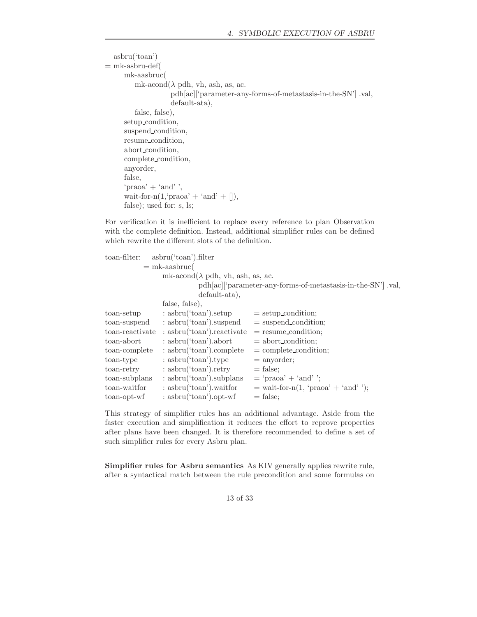```
asbru('toan')
= mk-asbru-def(
     mk-aasbruc(
        mk-acond(\lambda pdh, vh, ash, as, ac.
                    pdh[ac]['parameter-any-forms-of-metastasis-in-the-SN'] .val,
                    default-ata),
        false, false),
     setup condition,
     suspend condition,
     resume condition,
     abort condition,
     complete condition,
     anyorder,
     false,
     'praoa' + 'and'wait-for-n(1, 'praoa' + 'and' + []),
     false); used for: s, ls;
```
For verification it is inefficient to replace every reference to plan Observation with the complete definition. Instead, additional simplifier rules can be defined which rewrite the different slots of the definition.

| toan-filter:    | asbru('toan').filter                      |                                                              |
|-----------------|-------------------------------------------|--------------------------------------------------------------|
|                 | $=$ mk-aasbruc(                           |                                                              |
|                 | mk-acond( $\lambda$ pdh, vh, ash, as, ac. |                                                              |
|                 |                                           | pdh[ac]['parameter-any-forms-of-metastasis-in-the-SN'] .val, |
|                 | $default-ata),$                           |                                                              |
|                 | false, false),                            |                                                              |
| toan-setup      | $:$ asbru('toan').setup                   | $=$ setup_condition;                                         |
| toan-suspend    | : asbru('toan').suspend                   | $=$ suspend condition;                                       |
| toan-reactivate | $:$ asbru('toan'). reactivate             | $=$ resume condition;                                        |
| toan-abort      | $:$ asbru('toan').abort                   | $=$ abort condition;                                         |
| toan-complete   | $:$ asbru('toan').complete                | $=$ complete condition;                                      |
| toan-type       | $:$ asbru('toan').type                    | $=$ anyorder;                                                |
| toan-retry      | $:$ asbru('toan').retry                   | $=$ false:                                                   |
| toan-subplans   | $:$ asbru('toan').subplans                | $=$ 'praoa' + 'and' ';                                       |
| toan-waitfor    | $:$ asbru('toan').waitfor                 | $=$ wait-for-n(1, 'praoa' + 'and'');                         |
| toan-opt-wf     | $:$ asbru('toan').opt-wf                  | $=$ false:                                                   |

This strategy of simplifier rules has an additional advantage. Aside from the faster execution and simplification it reduces the effort to reprove properties after plans have been changed. It is therefore recommended to define a set of such simplifier rules for every Asbru plan.

**Simplifier rules for Asbru semantics** As KIV generally applies rewrite rule, after a syntactical match between the rule precondition and some formulas on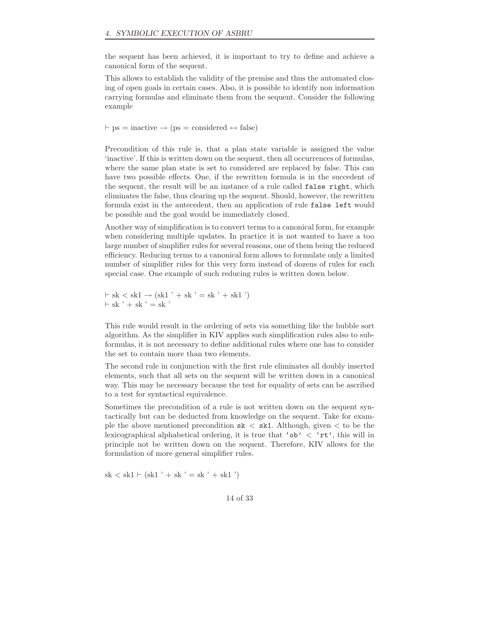the sequent has been achieved, it is important to try to define and achieve a canonical form of the sequent.

This allows to establish the validity of the premise and thus the automated closing of open goals in certain cases. Also, it is possible to identify non information carrying formulas and eliminate them from the sequent. Consider the following example

 $\vdash$  ps = inactive  $\rightarrow$  (ps = considered  $\leftrightarrow$  false)

Precondition of this rule is, that a plan state variable is assigned the value 'inactive'. If this is written down on the sequent, then all occurrences of formulas, where the same plan state is set to considered are replaced by false. This can have two possible effects. One, if the rewritten formula is in the succedent of the sequent, the result will be an instance of a rule called false right, which eliminates the false, thus clearing up the sequent. Should, however, the rewritten formula exist in the antecedent, then an application of rule false left would be possible and the goal would be immediately closed.

Another way of simplification is to convert terms to a canonical form, for example when considering multiple updates. In practice it is not wanted to have a too large number of simplifier rules for several reasons, one of them being the reduced efficiency. Reducing terms to a canonical form allows to formulate only a limited number of simplifier rules for this very form instead of dozens of rules for each special case. One example of such reducing rules is written down below.

 $\vdash$  sk  $\lt$  sk1  $\rightarrow$  (sk1  $\prime$  + sk  $\prime$  = sk  $\prime$  + sk1  $\prime$ )  $\vdash$  sk  $\prime$  + sk  $\prime$  = sk  $\prime$ 

This rule would result in the ordering of sets via something like the bubble sort algorithm. As the simplifier in KIV applies such simplification rules also to subformulas, it is not necessary to define additional rules where one has to consider the set to contain more than two elements.

The second rule in conjunction with the first rule eliminates all doubly inserted elements, such that all sets on the sequent will be written down in a canonical way. This may be necessary because the test for equality of sets can be ascribed to a test for syntactical equivalence.

Sometimes the precondition of a rule is not written down on the sequent syntactically but can be deducted from knowledge on the sequent. Take for example the above mentioned precondition  $sk < sk1$ . Although, given  $\lt$  to be the lexicographical alphabetical ordering, it is true that ' $ob' < 'rt'$ , this will in principle not be written down on the sequent. Therefore, KIV allows for the formulation of more general simplifier rules.

 $sk < sk1 \vdash (sk1' + sk' = sk' + sk1')$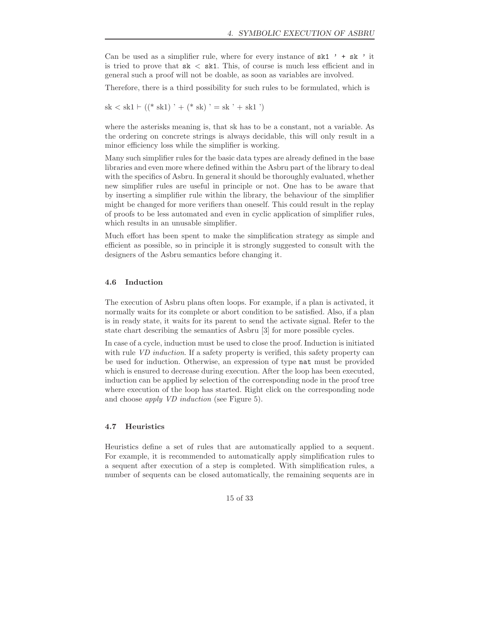Can be used as a simplifier rule, where for every instance of  $sk1$  ' + sk ' it is tried to prove that  $sk < sk1$ . This, of course is much less efficient and in general such a proof will not be doable, as soon as variables are involved.

Therefore, there is a third possibility for such rules to be formulated, which is

 $sk < sk1 \vdash ((* sk1) ' + (* sk) ' = sk ' + sk1 ')$ 

where the asterisks meaning is, that sk has to be a constant, not a variable. As the ordering on concrete strings is always decidable, this will only result in a minor efficiency loss while the simplifier is working.

Many such simplifier rules for the basic data types are already defined in the base libraries and even more where defined within the Asbru part of the library to deal with the specifics of Asbru. In general it should be thoroughly evaluated, whether new simplifier rules are useful in principle or not. One has to be aware that by inserting a simplifier rule within the library, the behaviour of the simplifier might be changed for more verifiers than oneself. This could result in the replay of proofs to be less automated and even in cyclic application of simplifier rules, which results in an unusable simplifier.

Much effort has been spent to make the simplification strategy as simple and efficient as possible, so in principle it is strongly suggested to consult with the designers of the Asbru semantics before changing it.

## **4.6 Induction**

The execution of Asbru plans often loops. For example, if a plan is activated, it normally waits for its complete or abort condition to be satisfied. Also, if a plan is in ready state, it waits for its parent to send the activate signal. Refer to the state chart describing the semantics of Asbru [3] for more possible cycles.

In case of a cycle, induction must be used to close the proof. Induction is initiated with rule *VD induction*. If a safety property is verified, this safety property can be used for induction. Otherwise, an expression of type nat must be provided which is ensured to decrease during execution. After the loop has been executed, induction can be applied by selection of the corresponding node in the proof tree where execution of the loop has started. Right click on the corresponding node and choose *apply VD induction* (see Figure 5).

## **4.7 Heuristics**

Heuristics define a set of rules that are automatically applied to a sequent. For example, it is recommended to automatically apply simplification rules to a sequent after execution of a step is completed. With simplification rules, a number of sequents can be closed automatically, the remaining sequents are in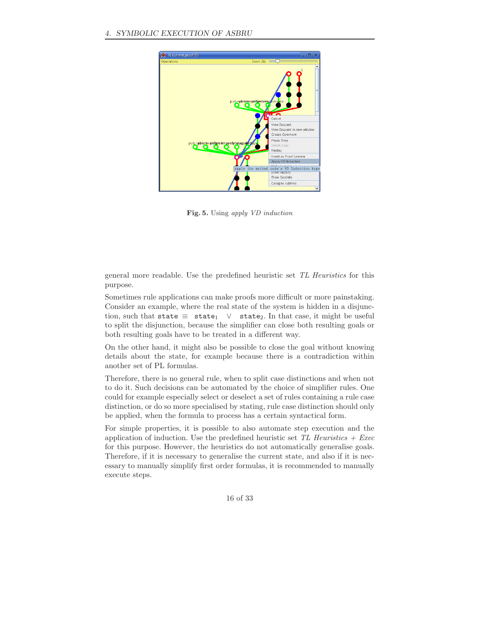

**Fig. 5.** Using *apply VD induction*

general more readable. Use the predefined heuristic set *TL Heuristics* for this purpose.

Sometimes rule applications can make proofs more difficult or more painstaking. Consider an example, where the real state of the system is hidden in a disjunction, such that state  $\equiv$  state<sub>1</sub>  $\vee$  state<sub>2</sub>. In that case, it might be useful to split the disjunction, because the simplifier can close both resulting goals or both resulting goals have to be treated in a different way.

On the other hand, it might also be possible to close the goal without knowing details about the state, for example because there is a contradiction within another set of PL formulas.

Therefore, there is no general rule, when to split case distinctions and when not to do it. Such decisions can be automated by the choice of simplifier rules. One could for example especially select or deselect a set of rules containing a rule case distinction, or do so more specialised by stating, rule case distinction should only be applied, when the formula to process has a certain syntactical form.

For simple properties, it is possible to also automate step execution and the application of induction. Use the predefined heuristic set *TL Heuristics + Exec* for this purpose. However, the heuristics do not automatically generalise goals. Therefore, if it is necessary to generalise the current state, and also if it is necessary to manually simplify first order formulas, it is recommended to manually execute steps.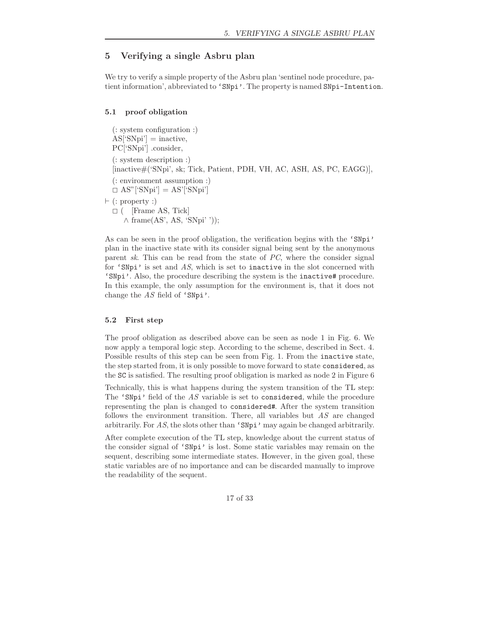# **5 Verifying a single Asbru plan**

We try to verify a simple property of the Asbru plan 'sentinel node procedure, patient information', abbreviated to 'SNpi'. The property is named SNpi-Intention.

# **5.1 proof obligation**

(: system configuration :)  $AS['SNpi'] = inactive,$ PC['SNpi'] .consider, (: system description :) [inactive#('SNpi', sk; Tick, Patient, PDH, VH, AC, ASH, AS, PC, EAGG)], (: environment assumption :)  $\Box$  AS"['SNpi'] = AS'['SNpi']  $\vdash$  (: property :)  $\square$  ( [Frame AS, Tick]  $\wedge$  frame(AS', AS, 'SNpi' '));

As can be seen in the proof obligation, the verification begins with the 'SNpi' plan in the inactive state with its consider signal being sent by the anonymous parent *sk*. This can be read from the state of *PC*, where the consider signal for 'SNpi' is set and *AS*, which is set to inactive in the slot concerned with 'SNpi'. Also, the procedure describing the system is the inactive# procedure. In this example, the only assumption for the environment is, that it does not change the *AS* field of 'SNpi'.

#### **5.2 First step**

The proof obligation as described above can be seen as node 1 in Fig. 6. We now apply a temporal logic step. According to the scheme, described in Sect. 4. Possible results of this step can be seen from Fig. 1. From the inactive state, the step started from, it is only possible to move forward to state considered, as the SC is satisfied. The resulting proof obligation is marked as node 2 in Figure 6

Technically, this is what happens during the system transition of the TL step: The 'SNpi' field of the *AS* variable is set to considered, while the procedure representing the plan is changed to considered#. After the system transition follows the environment transition. There, all variables but *AS* are changed arbitrarily. For *AS*, the slots other than 'SNpi' may again be changed arbitrarily.

After complete execution of the TL step, knowledge about the current status of the consider signal of 'SNpi' is lost. Some static variables may remain on the sequent, describing some intermediate states. However, in the given goal, these static variables are of no importance and can be discarded manually to improve the readability of the sequent.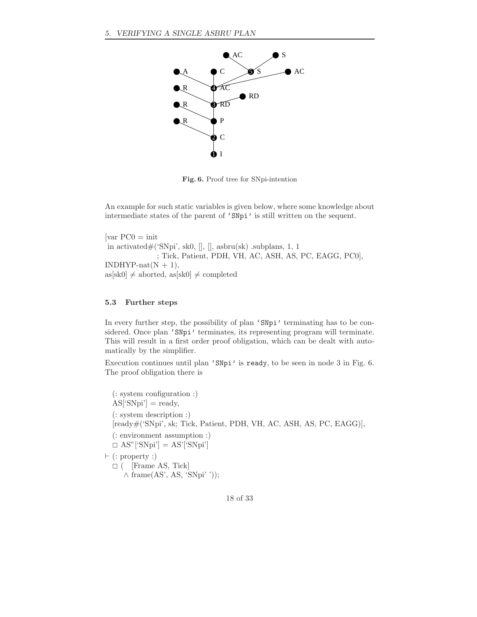

**Fig. 6.** Proof tree for SNpi-intention

An example for such static variables is given below, where some knowledge about intermediate states of the parent of 'SNpi' is still written on the sequent.

 $\lceil \text{var } PC0 \rceil = 1$ in activated $#$ ('SNpi', sk0, [], [], asbru(sk) .subplans, 1, 1 ; Tick, Patient, PDH, VH, AC, ASH, AS, PC, EAGG, PC0],  $INDHYP-nat(N + 1),$  $as[sk0] \neq aborted, as[sk0] \neq completed$ 

## **5.3 Further steps**

In every further step, the possibility of plan 'SNpi' terminating has to be considered. Once plan 'SNpi' terminates, its representing program will terminate. This will result in a first order proof obligation, which can be dealt with automatically by the simplifier.

Execution continues until plan 'SNpi' is ready, to be seen in node 3 in Fig. 6. The proof obligation there is

(: system configuration :)  $AS['SNpi'] = ready,$ (: system description :) [ready#('SNpi', sk; Tick, Patient, PDH, VH, AC, ASH, AS, PC, EAGG)], (: environment assumption :)  $\Box$  AS"['SNpi'] = AS'['SNpi']  $\vdash$  (: property :)  $\square$  ( [Frame AS, Tick]  $\land$  frame(AS', AS, 'SNpi' '));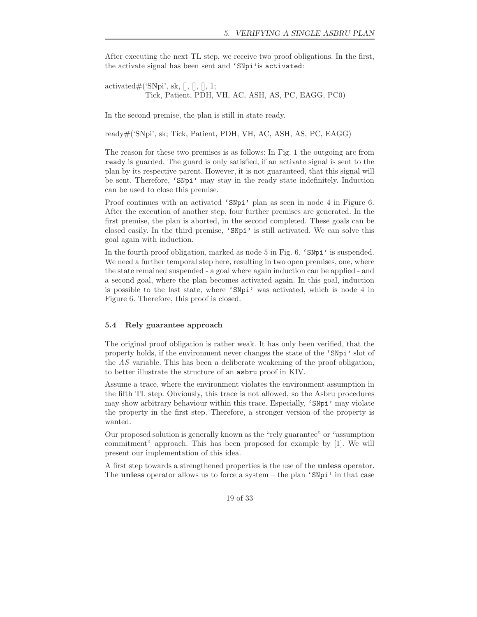After executing the next TL step, we receive two proof obligations. In the first, the activate signal has been sent and 'SNpi'is activated:

activated $\#$ ('SNpi', sk, [], [], [], 1; Tick, Patient, PDH, VH, AC, ASH, AS, PC, EAGG, PC0)

In the second premise, the plan is still in state ready.

ready#('SNpi', sk; Tick, Patient, PDH, VH, AC, ASH, AS, PC, EAGG)

The reason for these two premises is as follows: In Fig. 1 the outgoing arc from ready is guarded. The guard is only satisfied, if an activate signal is sent to the plan by its respective parent. However, it is not guaranteed, that this signal will be sent. Therefore, 'SNpi' may stay in the ready state indefinitely. Induction can be used to close this premise.

Proof continues with an activated 'SNpi' plan as seen in node 4 in Figure 6. After the execution of another step, four further premises are generated. In the first premise, the plan is aborted, in the second completed. These goals can be closed easily. In the third premise, 'SNpi' is still activated. We can solve this goal again with induction.

In the fourth proof obligation, marked as node 5 in Fig. 6, 'SNpi' is suspended. We need a further temporal step here, resulting in two open premises, one, where the state remained suspended - a goal where again induction can be applied - and a second goal, where the plan becomes activated again. In this goal, induction is possible to the last state, where 'SNpi' was activated, which is node 4 in Figure 6. Therefore, this proof is closed.

#### **5.4 Rely guarantee approach**

The original proof obligation is rather weak. It has only been verified, that the property holds, if the environment never changes the state of the 'SNpi' slot of the *AS* variable. This has been a deliberate weakening of the proof obligation, to better illustrate the structure of an asbru proof in KIV.

Assume a trace, where the environment violates the environment assumption in the fifth TL step. Obviously, this trace is not allowed, so the Asbru procedures may show arbitrary behaviour within this trace. Especially, 'SNpi' may violate the property in the first step. Therefore, a stronger version of the property is wanted.

Our proposed solution is generally known as the "rely guarantee" or "assumption commitment" approach. This has been proposed for example by [1]. We will present our implementation of this idea.

A first step towards a strengthened properties is the use of the **unless** operator. The **unless** operator allows us to force a system – the plan 'SNpi' in that case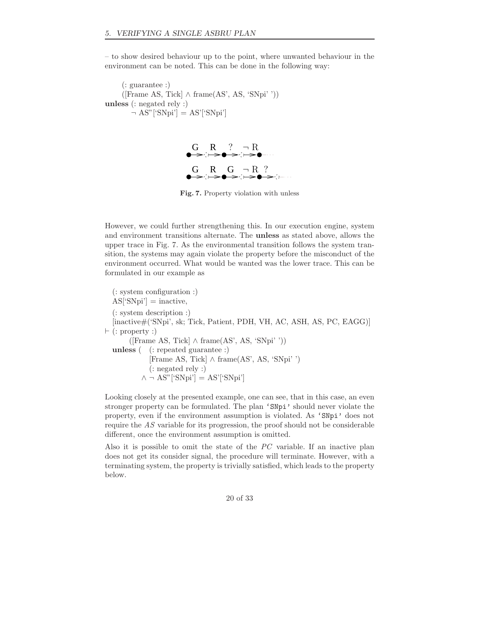– to show desired behaviour up to the point, where unwanted behaviour in the environment can be noted. This can be done in the following way:

(: guarantee :)  $([Frame AS, Tick] \wedge frame(AS', AS, 'SNpi''))$ **unless** (: negated rely :)  $\neg AS''$ ['SNpi'] = AS'['SNpi']



**Fig. 7.** Property violation with unless

However, we could further strengthening this. In our execution engine, system and environment transitions alternate. The **unless** as stated above, allows the upper trace in Fig. 7. As the environmental transition follows the system transition, the systems may again violate the property before the misconduct of the environment occurred. What would be wanted was the lower trace. This can be formulated in our example as

(: system configuration :)  $AS['SNpi'] = inactive,$ (: system description :) [inactive#('SNpi', sk; Tick, Patient, PDH, VH, AC, ASH, AS, PC, EAGG)]  $\vdash$  (: property :)  $([Frame AS, Tick] \wedge frame(AS', AS, 'SNpi''))$ **unless** ( (: repeated guarantee :) [Frame AS, Tick] ∧ frame(AS', AS, 'SNpi' ') (: negated rely :)  $\wedge \neg \text{ AS}^{\prime\prime}$  ['SNpi'] = AS'['SNpi']

Looking closely at the presented example, one can see, that in this case, an even stronger property can be formulated. The plan 'SNpi' should never violate the property, even if the environment assumption is violated. As 'SNpi' does not require the *AS* variable for its progression, the proof should not be considerable different, once the environment assumption is omitted.

Also it is possible to omit the state of the *PC* variable. If an inactive plan does not get its consider signal, the procedure will terminate. However, with a terminating system, the property is trivially satisfied, which leads to the property below.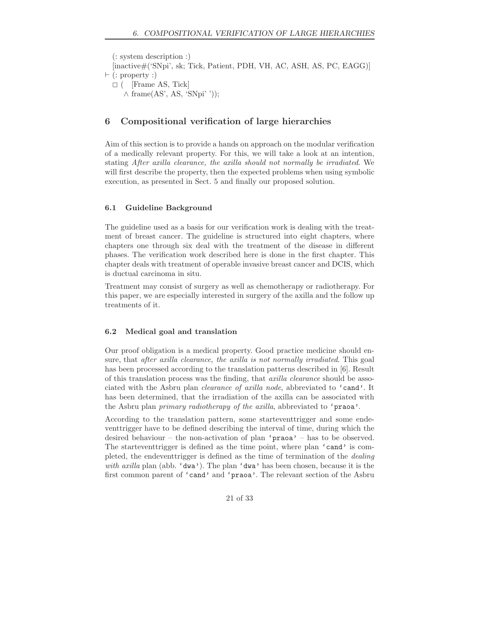(: system description :) [inactive#('SNpi', sk; Tick, Patient, PDH, VH, AC, ASH, AS, PC, EAGG)]  $\vdash$  (: property :)  $\square$  ( [Frame AS, Tick]  $\wedge$  frame(AS', AS, 'SNpi' '));

# **6 Compositional verification of large hierarchies**

Aim of this section is to provide a hands on approach on the modular verification of a medically relevant property. For this, we will take a look at an intention, stating *After axilla clearance, the axilla should not normally be irradiated*. We will first describe the property, then the expected problems when using symbolic execution, as presented in Sect. 5 and finally our proposed solution.

# **6.1 Guideline Background**

The guideline used as a basis for our verification work is dealing with the treatment of breast cancer. The guideline is structured into eight chapters, where chapters one through six deal with the treatment of the disease in different phases. The verification work described here is done in the first chapter. This chapter deals with treatment of operable invasive breast cancer and DCIS, which is ductual carcinoma in situ.

Treatment may consist of surgery as well as chemotherapy or radiotherapy. For this paper, we are especially interested in surgery of the axilla and the follow up treatments of it.

## **6.2 Medical goal and translation**

Our proof obligation is a medical property. Good practice medicine should ensure, that *after axilla clearance, the axilla is not normally irradiated*. This goal has been processed according to the translation patterns described in [6]. Result of this translation process was the finding, that *axilla clearance* should be associated with the Asbru plan *clearance of axilla node*, abbreviated to 'cand'. It has been determined, that the irradiation of the axilla can be associated with the Asbru plan *primary radiotherapy of the axilla*, abbreviated to 'praoa'.

According to the translation pattern, some starteventtrigger and some endeventtrigger have to be defined describing the interval of time, during which the desired behaviour – the non-activation of plan 'praoa' – has to be observed. The startevent trigger is defined as the time point, where plan 'cand' is completed, the endeventtrigger is defined as the time of termination of the *dealing with axilla* plan (abb. 'dwa'). The plan 'dwa' has been chosen, because it is the first common parent of 'cand' and 'praoa'. The relevant section of the Asbru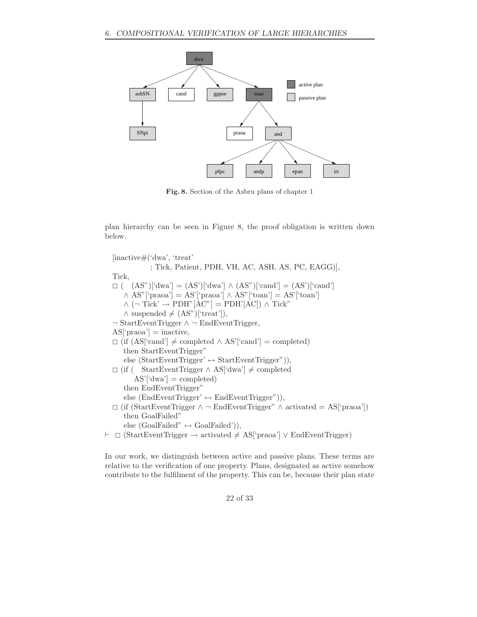

**Fig. 8.** Section of the Asbru plans of chapter 1

plan hierarchy can be seen in Figure 8, the proof obligation is written down below.

[inactive#('dwa', 'treat' ; Tick, Patient, PDH, VH, AC, ASH, AS, PC, EAGG)], Tick,  $\Box$  (  $(AS")$ ['dwa'] =  $(AS')$ ['dwa']  $\wedge (AS")$ ['cand'] =  $(AS')$ ['cand'] ∧ AS"['praoa'] = AS'['praoa'] ∧ AS"['toan'] = AS'['toan']  $\wedge$  (¬ Tick'  $\rightarrow$  PDH"[AC"] = PDH'[AC])  $\wedge$  Tick"  $\wedge$  suspended  $\neq$  (AS")['treat']), ¬ StartEventTrigger ∧ ¬ EndEventTrigger,  $AS['proba'] = inactive,$  $\Box$  (if (AS['cand'] ≠ completed ∧ AS'['cand'] = completed) then StartEventTrigger" else (StartEventTrigger'  $\leftrightarrow$  StartEventTrigger")), - (if ( StartEventTrigger ∧ AS['dwa'] = completed  $AS'[dwa'] = completed)$ then EndEventTrigger" else (EndEventTrigger'  $\leftrightarrow$  EndEventTrigger")), - (if (StartEventTrigger ∧ ¬ EndEventTrigger" ∧ activated = AS['praoa']) then GoalFailed" else (GoalFailed"  $\leftrightarrow$  GoalFailed")), - (StartEventTrigger → activated = AS['praoa'] ∨ EndEventTrigger)

In our work, we distinguish between active and passive plans. These terms are relative to the verification of one property. Plans, designated as active somehow contribute to the fulfilment of the property. This can be, because their plan state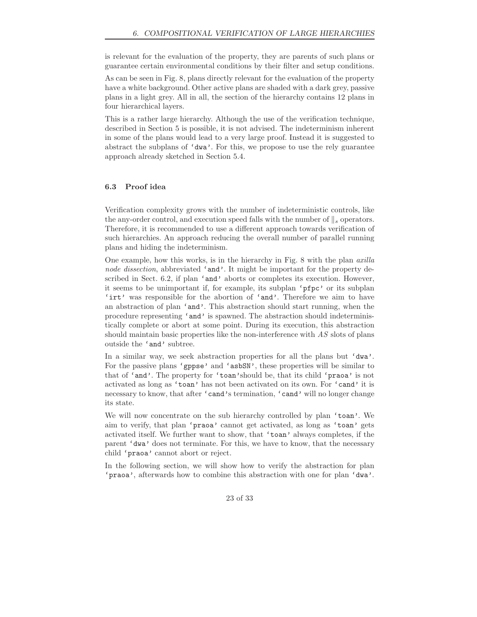is relevant for the evaluation of the property, they are parents of such plans or guarantee certain environmental conditions by their filter and setup conditions.

As can be seen in Fig. 8, plans directly relevant for the evaluation of the property have a white background. Other active plans are shaded with a dark grey, passive plans in a light grey. All in all, the section of the hierarchy contains 12 plans in four hierarchical layers.

This is a rather large hierarchy. Although the use of the verification technique, described in Section 5 is possible, it is not advised. The indeterminism inherent in some of the plans would lead to a very large proof. Instead it is suggested to abstract the subplans of 'dwa'. For this, we propose to use the rely guarantee approach already sketched in Section 5.4.

## **6.3 Proof idea**

Verification complexity grows with the number of indeterministic controls, like the any-order control, and execution speed falls with the number of  $\|$ <sub>s</sub> operators. Therefore, it is recommended to use a different approach towards verification of such hierarchies. An approach reducing the overall number of parallel running plans and hiding the indeterminism.

One example, how this works, is in the hierarchy in Fig. 8 with the plan *axilla node dissection*, abbreviated 'and'. It might be important for the property described in Sect. 6.2, if plan 'and' aborts or completes its execution. However, it seems to be unimportant if, for example, its subplan 'pfpc' or its subplan 'irt' was responsible for the abortion of 'and'. Therefore we aim to have an abstraction of plan 'and'. This abstraction should start running, when the procedure representing 'and' is spawned. The abstraction should indeterministically complete or abort at some point. During its execution, this abstraction should maintain basic properties like the non-interference with *AS* slots of plans outside the 'and' subtree.

In a similar way, we seek abstraction properties for all the plans but 'dwa'. For the passive plans 'gppse' and 'asbSN', these properties will be similar to that of 'and'. The property for 'toan'should be, that its child 'praoa' is not activated as long as 'toan' has not been activated on its own. For 'cand' it is necessary to know, that after 'cand's termination, 'cand' will no longer change its state.

We will now concentrate on the sub hierarchy controlled by plan 'toan'. We aim to verify, that plan 'praoa' cannot get activated, as long as 'toan' gets activated itself. We further want to show, that 'toan' always completes, if the parent 'dwa' does not terminate. For this, we have to know, that the necessary child 'praoa' cannot abort or reject.

In the following section, we will show how to verify the abstraction for plan 'praoa', afterwards how to combine this abstraction with one for plan 'dwa'.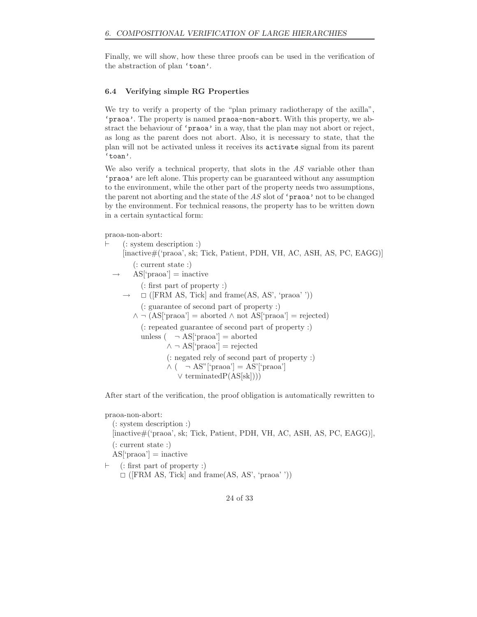Finally, we will show, how these three proofs can be used in the verification of the abstraction of plan 'toan'.

# **6.4 Verifying simple RG Properties**

We try to verify a property of the "plan primary radiotherapy of the axilla", 'praoa'. The property is named praoa-non-abort. With this property, we abstract the behaviour of 'praoa' in a way, that the plan may not abort or reject, as long as the parent does not abort. Also, it is necessary to state, that the plan will not be activated unless it receives its activate signal from its parent 'toan'.

We also verify a technical property, that slots in the *AS* variable other than 'praoa' are left alone. This property can be guaranteed without any assumption to the environment, while the other part of the property needs two assumptions, the parent not aborting and the state of the *AS* slot of 'praoa' not to be changed by the environment. For technical reasons, the property has to be written down in a certain syntactical form:

praoa-non-abort:

|  | $(:$ system description :)                                                                                  |
|--|-------------------------------------------------------------------------------------------------------------|
|  | [inactive#('praoa', sk; Tick, Patient, PDH, VH, AC, ASH, AS, PC, EAGG)]                                     |
|  | $\left(\right):$ current state :)                                                                           |
|  | $\rightarrow$ AS <sup>['</sup> praoa'] = inactive                                                           |
|  | $\left($ : first part of property :)                                                                        |
|  | $\rightarrow$ $\Box$ ([FRM AS, Tick] and frame(AS, AS', 'praoa''))                                          |
|  | (: guarantee of second part of property :)                                                                  |
|  | $\wedge \neg (AS[\text{'praoa'}] = \text{aborted} \wedge \text{not } AS[\text{'praoa'}] = \text{rejected})$ |
|  | (: repeated guarantee of second part of property :)                                                         |
|  | unless $( \neg AS['praoa'] = aborted$                                                                       |
|  | $\wedge \neg \text{AS}$ ['praoa'] = rejected                                                                |
|  | (: negated rely of second part of property :)                                                               |
|  | $\wedge$ ( $\neg$ AS" ['praoa'] = AS' ['praoa']                                                             |
|  | $\vee$ terminated $P(AS[sk]))$                                                                              |
|  |                                                                                                             |

After start of the verification, the proof obligation is automatically rewritten to

praoa-non-abort:

```
(: system description :)
[inactive#('praoa', sk; Tick, Patient, PDH, VH, AC, ASH, AS, PC, EAGG)],
(: current state :)
AS['praoa'] = inactive
```
 $\vdash$  (: first part of property :)  $\Box$  ([FRM AS, Tick] and frame(AS, AS', 'praoa' '))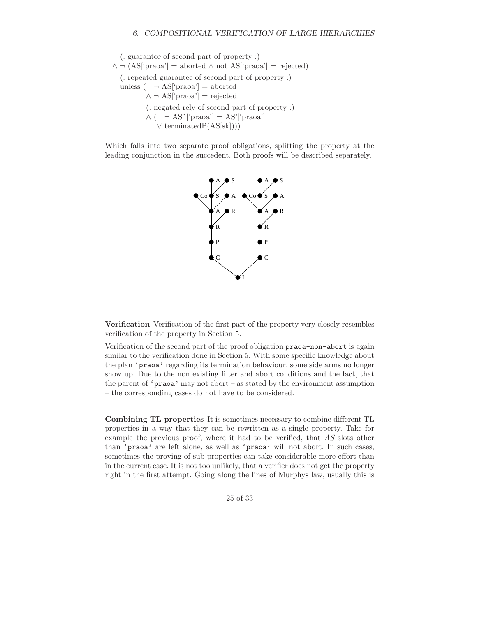(: guarantee of second part of property :)  $\wedge \neg (AS['praoa'] = aborted \wedge not AS['praoa'] = rejected)$ (: repeated guarantee of second part of property :) unless  $( \neg AS['pro a'] = aborted$  $\wedge \neg \text{AS}$ ['praoa'] = rejected (: negated rely of second part of property :)  $\wedge$  (  $\neg$  AS"['praoa'] = AS'['praoa'] ∨ terminatedP(AS[sk])))

Which falls into two separate proof obligations, splitting the property at the leading conjunction in the succedent. Both proofs will be described separately.



**Verification** Verification of the first part of the property very closely resembles verification of the property in Section 5.

Verification of the second part of the proof obligation praoa-non-abort is again similar to the verification done in Section 5. With some specific knowledge about the plan 'praoa' regarding its termination behaviour, some side arms no longer show up. Due to the non existing filter and abort conditions and the fact, that the parent of  $'$ **praoa**' may not abort – as stated by the environment assumption – the corresponding cases do not have to be considered.

**Combining TL properties** It is sometimes necessary to combine different TL properties in a way that they can be rewritten as a single property. Take for example the previous proof, where it had to be verified, that *AS* slots other than 'praoa' are left alone, as well as 'praoa' will not abort. In such cases, sometimes the proving of sub properties can take considerable more effort than in the current case. It is not too unlikely, that a verifier does not get the property right in the first attempt. Going along the lines of Murphys law, usually this is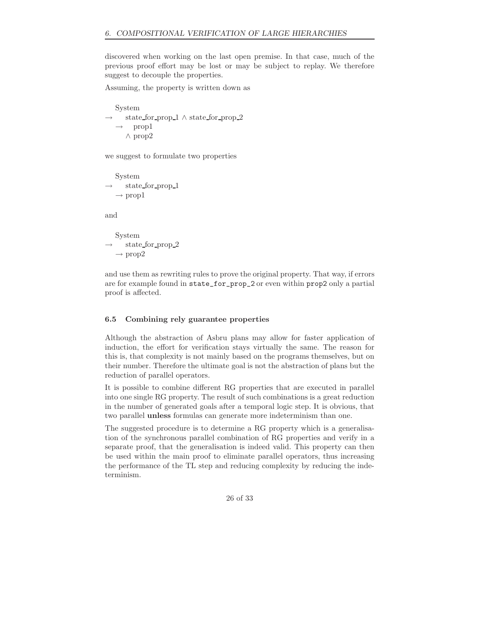discovered when working on the last open premise. In that case, much of the previous proof effort may be lost or may be subject to replay. We therefore suggest to decouple the properties.

Assuming, the property is written down as

```
System
  state for prop 1 \wedge state for prop 2prop1
   ∧ prop2
```
we suggest to formulate two properties

System state\_for\_prop\_1  $\rightarrow$  prop1

and

System state\_for\_prop\_2  $\rightarrow$  prop2

and use them as rewriting rules to prove the original property. That way, if errors are for example found in state\_for\_prop\_2 or even within prop2 only a partial proof is affected.

## **6.5 Combining rely guarantee properties**

Although the abstraction of Asbru plans may allow for faster application of induction, the effort for verification stays virtually the same. The reason for this is, that complexity is not mainly based on the programs themselves, but on their number. Therefore the ultimate goal is not the abstraction of plans but the reduction of parallel operators.

It is possible to combine different RG properties that are executed in parallel into one single RG property. The result of such combinations is a great reduction in the number of generated goals after a temporal logic step. It is obvious, that two parallel **unless** formulas can generate more indeterminism than one.

The suggested procedure is to determine a RG property which is a generalisation of the synchronous parallel combination of RG properties and verify in a separate proof, that the generalisation is indeed valid. This property can then be used within the main proof to eliminate parallel operators, thus increasing the performance of the TL step and reducing complexity by reducing the indeterminism.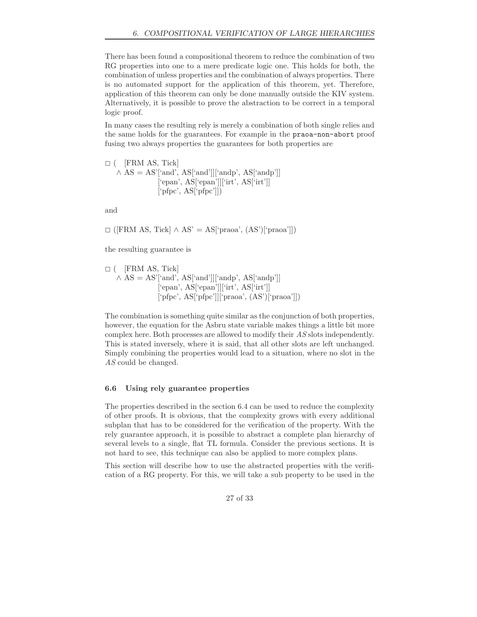There has been found a compositional theorem to reduce the combination of two RG properties into one to a mere predicate logic one. This holds for both, the combination of unless properties and the combination of always properties. There is no automated support for the application of this theorem, yet. Therefore, application of this theorem can only be done manually outside the KIV system. Alternatively, it is possible to prove the abstraction to be correct in a temporal logic proof.

In many cases the resulting rely is merely a combination of both single relies and the same holds for the guarantees. For example in the praoa-non-abort proof fusing two always properties the guarantees for both properties are

 $\Box$  ( [FRM AS, Tick]  $\wedge$  AS = AS'['and', AS['and']]['andp', AS['andp']] ['epan', AS['epan']]['irt', AS['irt']] ['pfpc', AS['pfpc']])

and

 $□$  ([FRM AS, Tick] ∧ AS' = AS['praoa', (AS')['praoa']])

the resulting guarantee is

$$
\Box \ (\ [\text{FRM AS, Tick}] \ \land \ \text{AS} = \text{AS'}['and', \ \text{AS}['and']][`andp', \ \text{AS}['and']][\text{`if'}, \ \text{AS}['and']][\text{`if'}, \ \text{AS}['in']][\text{`if'}, \ \text{AS}['in']][\text{`if'}, \ \text{AS}['in']][\text{`if'}]
$$

The combination is something quite similar as the conjunction of both properties, however, the equation for the Asbru state variable makes things a little bit more complex here. Both processes are allowed to modify their *AS* slots independently. This is stated inversely, where it is said, that all other slots are left unchanged. Simply combining the properties would lead to a situation, where no slot in the *AS* could be changed.

## **6.6 Using rely guarantee properties**

The properties described in the section 6.4 can be used to reduce the complexity of other proofs. It is obvious, that the complexity grows with every additional subplan that has to be considered for the verification of the property. With the rely guarantee approach, it is possible to abstract a complete plan hierarchy of several levels to a single, flat TL formula. Consider the previous sections. It is not hard to see, this technique can also be applied to more complex plans.

This section will describe how to use the abstracted properties with the verification of a RG property. For this, we will take a sub property to be used in the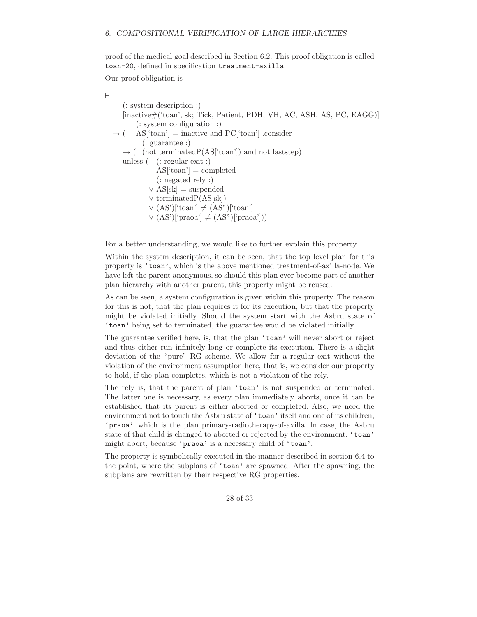proof of the medical goal described in Section 6.2. This proof obligation is called toan-20, defined in specification treatment-axilla.

Our proof obligation is

 $\vdash$ 

(: system description :) [inactive#('toan', sk; Tick, Patient, PDH, VH, AC, ASH, AS, PC, EAGG)] (: system configuration :)  $AS['toan']$  = inactive and PC['toan'] .consider (: guarantee :)  $\rightarrow$  ( (not terminatedP(AS['toan']) and not last tep) unless ( (: regular exit :)  $AS$ <sup>['toan']</sup> = completed (: negated rely :)  $\vee$  AS[sk] = suspended ∨ terminatedP(AS[sk])  $\vee$  (AS')['toan']  $\neq$  (AS'')['toan']  $\vee$  (AS')['praoa']  $\neq$  (AS")['praoa']))

For a better understanding, we would like to further explain this property.

Within the system description, it can be seen, that the top level plan for this property is 'toan', which is the above mentioned treatment-of-axilla-node. We have left the parent anonymous, so should this plan ever become part of another plan hierarchy with another parent, this property might be reused.

As can be seen, a system configuration is given within this property. The reason for this is not, that the plan requires it for its execution, but that the property might be violated initially. Should the system start with the Asbru state of 'toan' being set to terminated, the guarantee would be violated initially.

The guarantee verified here, is, that the plan 'toan' will never abort or reject and thus either run infinitely long or complete its execution. There is a slight deviation of the "pure" RG scheme. We allow for a regular exit without the violation of the environment assumption here, that is, we consider our property to hold, if the plan completes, which is not a violation of the rely.

The rely is, that the parent of plan 'toan' is not suspended or terminated. The latter one is necessary, as every plan immediately aborts, once it can be established that its parent is either aborted or completed. Also, we need the environment not to touch the Asbru state of 'toan' itself and one of its children, 'praoa' which is the plan primary-radiotherapy-of-axilla. In case, the Asbru state of that child is changed to aborted or rejected by the environment, 'toan' might abort, because 'praoa' is a necessary child of 'toan'.

The property is symbolically executed in the manner described in section 6.4 to the point, where the subplans of 'toan' are spawned. After the spawning, the subplans are rewritten by their respective RG properties.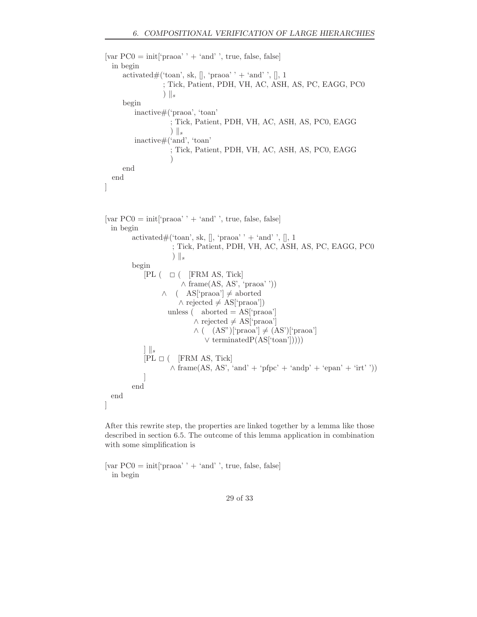```
[var PC0 = init['proba' + 'and', true, false, false]
  in begin
     activated\#('toan', sk, \parallel, 'praoa' ' + 'and' ', \parallel, 1
                   ; Tick, Patient, PDH, VH, AC, ASH, AS, PC, EAGG, PC0
                  \| \cdot \|_{s}begin
         inactive#('praoa', 'toan'
                     ; Tick, Patient, PDH, VH, AC, ASH, AS, PC0, EAGG
                     ) s
         inactive#('and', 'toan'
                     ; Tick, Patient, PDH, VH, AC, ASH, AS, PC0, EAGG
                     )
     end
 end
]
[var PC0 = init['praoa' ' + 'and' ', true, false, false]
 in begin
         activated\#('toan', sk, \parallel, 'praoa' ' + 'and' ', \parallel, 1
                      ; Tick, Patient, PDH, VH, AC, ASH, AS, PC, EAGG, PC0
                      \| \cdot \|_{s}begin
             [PL ( \Box ( \underline{FRM} \underline{AS}, \underline{Tick}∧ frame(AS, AS', 'praoa' '))
                  \wedge ( AS['praoa'] \neq aborted
                        \land rejected \neq AS['praoa'])
                    unless (aborted = AS['proba']\land rejected \neq AS['praoa']
                             \wedge ( (AS")['praoa'] \neq (AS')['praoa']
                                ∨ terminatedP(AS['toan']))))
            ] s
             [PL \Box ( [FRM AS, Tick]
                     \land frame(AS, AS', 'and' + 'pfpc' + 'andp' + 'epan' + 'irt' '))
             ]
        end
 end
]
```
After this rewrite step, the properties are linked together by a lemma like those described in section 6.5. The outcome of this lemma application in combination with some simplification is

[var  $PC0 = init[$ 'praoa' ' + 'and' ', true, false, false] in begin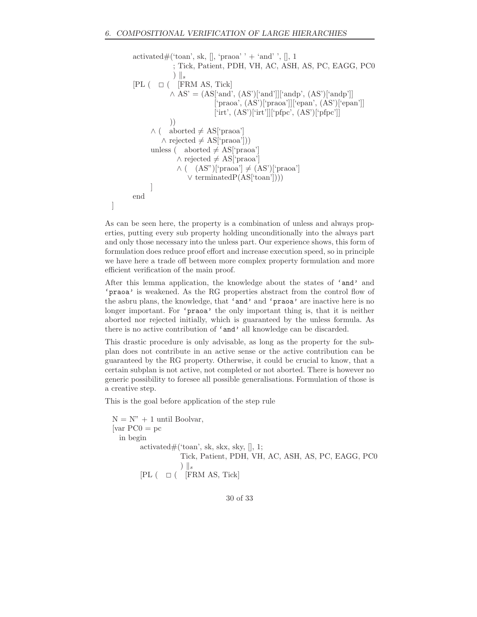```
activated#('toan', sk, \parallel, 'praoa' ' + 'and' ', \parallel, 1
              ; Tick, Patient, PDH, VH, AC, ASH, AS, PC, EAGG, PC0
              \| \cdot \|_{s}[PL ( \Box ( \text{FRM AS, Tick})\wedge AS' = (AS['and', (AS')['and']]['andp', (AS')['andp']]
                             ['praoa', (AS')['praoa']]['epan', (AS')['epan']]
                            [irt', (AS')[irt']['\rhofpc', (AS')['\rhofpc']]
            ))
      \wedge ( aborted \neq AS['praoa']
          \land rejected \neq AS['praoa']))
      unless ( aborted \neq AS['praoa']
               \land rejected \neq AS['praoa']
               \wedge ( (AS")['praoa'] \neq (AS')['praoa']
                   ∨ terminatedP(AS['toan'])))
      ]
end
```
As can be seen here, the property is a combination of unless and always properties, putting every sub property holding unconditionally into the always part and only those necessary into the unless part. Our experience shows, this form of formulation does reduce proof effort and increase execution speed, so in principle we have here a trade off between more complex property formulation and more efficient verification of the main proof.

After this lemma application, the knowledge about the states of 'and' and 'praoa' is weakened. As the RG properties abstract from the control flow of the asbru plans, the knowledge, that 'and' and 'praoa' are inactive here is no longer important. For 'praoa' the only important thing is, that it is neither aborted nor rejected initially, which is guaranteed by the unless formula. As there is no active contribution of 'and' all knowledge can be discarded.

This drastic procedure is only advisable, as long as the property for the subplan does not contribute in an active sense or the active contribution can be guaranteed by the RG property. Otherwise, it could be crucial to know, that a certain subplan is not active, not completed or not aborted. There is however no generic possibility to foresee all possible generalisations. Formulation of those is a creative step.

This is the goal before application of the step rule

]

```
N = N'' + 1 until Boolvar,
\lceil \text{var PC0} \rceil pc
  in begin
         activated#('toan', sk, skx, sky, [], 1;
                       Tick, Patient, PDH, VH, AC, ASH, AS, PC, EAGG, PC0
                       \| \cdot \|_{s}[PL ( \Box ( \text{FRM AS}, \text{Tick})
```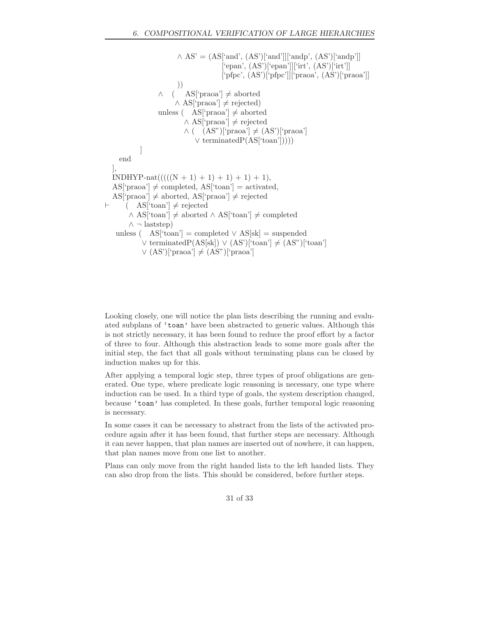```
\wedge AS' = (AS['and', (AS')['and']]['andp', (AS')['andp']]
                                      ['epan', (AS')['epan']]['irt', (AS')['irt']]
                                      ['pfpc', (AS')['pfpc']]['praoa', (AS')['praoa']]
                       ))
                 \wedge ( AS['praoa'] \neq aborted
                      \land AS['praoa'] \neq rejected)
                 unless (AS['proba'] \neq aborted\land AS['praoa'] \neq rejected
                         \wedge ( (AS")['praoa'] \neq (AS')['praoa']
                             ∨ terminatedP(AS['toan']))))
           ]
    end
  ],
  INDHYP-nat(((N + 1) + 1) + 1) + 1),AS['praoa'] \neq completed, AS['toan'] = activated,AS['praoa'] \neq aborted, AS['praoa'] \neq rejected\vdash (AS ['toan'] \neq rejected
       ∧ AS['toan'] \neq aborted ∧ AS['toan'] \neq completed
       \wedge \neg laststep)
   unless ( \text{AS}['toan'] = completed \vee AS[sk] = suspended
            \vee terminatedP(AS[sk]) \vee (AS')['toan'] \neq (AS'')['toan']
           \vee (AS')['praoa'] \neq (AS")['praoa']
```
Looking closely, one will notice the plan lists describing the running and evaluated subplans of 'toan' have been abstracted to generic values. Although this is not strictly necessary, it has been found to reduce the proof effort by a factor of three to four. Although this abstraction leads to some more goals after the initial step, the fact that all goals without terminating plans can be closed by induction makes up for this.

After applying a temporal logic step, three types of proof obligations are generated. One type, where predicate logic reasoning is necessary, one type where induction can be used. In a third type of goals, the system description changed, because 'toan' has completed. In these goals, further temporal logic reasoning is necessary.

In some cases it can be necessary to abstract from the lists of the activated procedure again after it has been found, that further steps are necessary. Although it can never happen, that plan names are inserted out of nowhere, it can happen, that plan names move from one list to another.

Plans can only move from the right handed lists to the left handed lists. They can also drop from the lists. This should be considered, before further steps.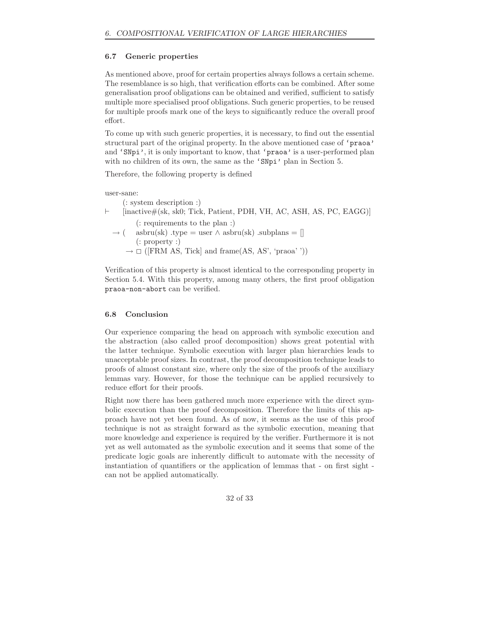# **6.7 Generic properties**

As mentioned above, proof for certain properties always follows a certain scheme. The resemblance is so high, that verification efforts can be combined. After some generalisation proof obligations can be obtained and verified, sufficient to satisfy multiple more specialised proof obligations. Such generic properties, to be reused for multiple proofs mark one of the keys to significantly reduce the overall proof effort.

To come up with such generic properties, it is necessary, to find out the essential structural part of the original property. In the above mentioned case of 'praoa' and 'SNpi', it is only important to know, that 'praoa' is a user-performed plan with no children of its own, the same as the 'SNpi' plan in Section 5.

Therefore, the following property is defined

user-sane:

(: system description :)  $\vdash$  [inactive#(sk, sk0; Tick, Patient, PDH, VH, AC, ASH, AS, PC, EAGG)] (: requirements to the plan :)  $\rightarrow$  ( asbru(sk) .type = user  $\wedge$  asbru(sk) .subplans = [] (: property :)  $\rightarrow \Box$  ([FRM AS, Tick] and frame(AS, AS', 'praoa' '))

Verification of this property is almost identical to the corresponding property in Section 5.4. With this property, among many others, the first proof obligation praoa-non-abort can be verified.

## **6.8 Conclusion**

Our experience comparing the head on approach with symbolic execution and the abstraction (also called proof decomposition) shows great potential with the latter technique. Symbolic execution with larger plan hierarchies leads to unacceptable proof sizes. In contrast, the proof decomposition technique leads to proofs of almost constant size, where only the size of the proofs of the auxiliary lemmas vary. However, for those the technique can be applied recursively to reduce effort for their proofs.

Right now there has been gathered much more experience with the direct symbolic execution than the proof decomposition. Therefore the limits of this approach have not yet been found. As of now, it seems as the use of this proof technique is not as straight forward as the symbolic execution, meaning that more knowledge and experience is required by the verifier. Furthermore it is not yet as well automated as the symbolic execution and it seems that some of the predicate logic goals are inherently difficult to automate with the necessity of instantiation of quantifiers or the application of lemmas that - on first sight can not be applied automatically.